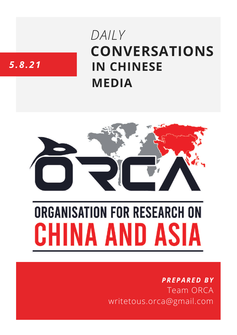# **CONVERSATIONS IN CHINESE MEDIA** *DAILY*

# *5.8.21*



# **ORGANISATION FOR RESEARCH ON** HINA AND ASIA

## *PREPARED BY* Team ORCA writetous.orca@gmail.com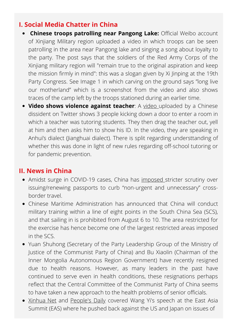#### **I. Social Media Chatter in China**

- **Chinese troops patrolling near Pangong Lake:** Official Weibo account of Xinjiang Military region uploaded a video in which troops can be seen patrolling in the area near Pangong lake and singing a song about loyalty to the party. The post says that the soldiers of the Red Army Corps of the Xinjiang military region will "remain true to the original aspiration and keep the mission firmly in mind": this was a slogan given by Xi Jinping at the 19th Party Congress. See Image 1 in which carving on the ground says "long live our motherland" which is a screenshot from the video and also shows traces of the camp left by the troops stationed during an earlier time.
- **Video shows violence against teacher**: A [video](https://twitter.com/fangshimin/status/1423439498344423429) uploaded by a Chinese dissident on Twitter shows 3 people kicking down a door to enter a room in which a teacher was tutoring students. They then drag the teacher out, yell at him and then asks him to show his ID. In the video, they are speaking in Anhui's dialect (Jianghuai dialect). There is split regarding understtanding of whether this was done in light of new rules regarding off-school tutoring or for pandemic prevention.

#### **II. News in China**

- Amidst surge in COVID-19 cases, China has [imposed](https://www.sixthtone.com/news/1008165) stricter scrutiny over issuing/renewing passports to curb "non-urgent and unnecessary" crossborder travel.
- Chinese Maritime Administration has announced that China will conduct military training within a line of eight points in the South China Sea (SCS), and that sailing in is prohibited from August 6 to 10. The area restricted for the exercise has hence become one of the largest restricted areas imposed in the SCS.
- Yuan Shuhong (Secretary of the Party Leadership Group of the Ministry of Justice of the Communist Party of China) and Bu Xiaolin (Chairman of the Inner Mongolia Autonomous Region Government) have recently resigned due to health reasons. However, as many leaders in the past have continued to serve even in health conditions, these resignations perhaps reflect that the Central Committee of the Communist Party of China seems to have taken a new approach to the health problems of senior officials.
- [Xinhua](http://www.xinhuanet.com/english/2021-08/05/c_1310108102.htm) Net and [People's](http://paper.people.com.cn/rmrb/html/2021-08/05/nw.D110000renmrb_20210805_4-03.htm) Daily covered Wang Yi's speech at the East Asia Summit (EAS) where he pushed back against the US and Japan on issues of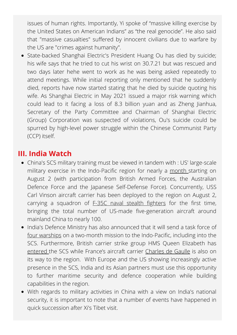issues of human rights. Importantly, Yi spoke of "massive killing exercise by the United States on American Indians" as "the real genocide". He also said that "massive casualties" suffered by innocent civilians due to warfare by the US are "crimes against humanity".

• State-backed Shanghai Electric's President Huang Ou has died by suicide; his wife says that he tried to cut his wrist on 30.7.21 but was rescued and two days later hehe went to work as he was being asked repeatedly to attend meetings. While initial reporting only mentioned that he suddenly died, reports have now started stating that he died by suicide quoting his wife. As Shanghai Electric in May 2021 issued a major risk warning which could lead to it facing a loss of 8.3 billion yuan and as Zheng Jianhua, Secretary of the Party Committee and Chairman of Shanghai Electric (Group) Corporation was suspected of violations, Ou's suicide could be spurred by high-level power struggle within the Chinese Communist Party (CCP) itself.

### **III. India Watch**

- China's SCS military training must be viewed in tandem with : US' large-scale military exercise in the Indo-Pacific region for nearly a [month](https://www.naval-technology.com/news/us-indopacom-commences-large-scale-global-exercise-21/) starting on August 2 (with participation from British Armed Forces, the Australian Defence Force and the Japanese Self-Defense Force). Concurrently, USS Carl Vinson aircraft carrier has been deployed to the region on August 2, carrying a squadron of F-35C naval stealth [fighters](https://www.navalnews.com/naval-news/2021/08/u-s-navy-carl-vinson-carrier-strike-group-departs-on-deployment/) for the first time, bringing the total number of US-made five-generation aircraft around mainland China to nearly 100.
- India's Defence Ministry has also announced that it will send a task force of four [warships](https://www.janes.com/defence-news/news-detail/indian-navy-to-send-task-force-on-months-long-indo-pacific-deployment) on a two-month mission to the Indo-Pacific, including into the SCS. Furthermore, British carrier strike group HMS Queen Elizabeth has [entered](https://edition.cnn.com/2021/07/30/asia/south-china-sea-military-activity-hms-queen-elizabeth-intl-hnk-ml/index.html) the SCS while France's aircraft carrier [Charles](https://www.ft.com/content/fac21cf6-076d-4c6e-8596-f8c203011a48) de Gaulle is also on its way to the region. With Europe and the US showing increasingly active presence in the SCS, India and its Asian partners must use this opportunity to further maritime security and defence cooperation while building capabilities in the region.
- With regards to military activities in China with a view on India's national security, it is important to note that a number of events have happened in quick succession after Xi's Tibet visit.